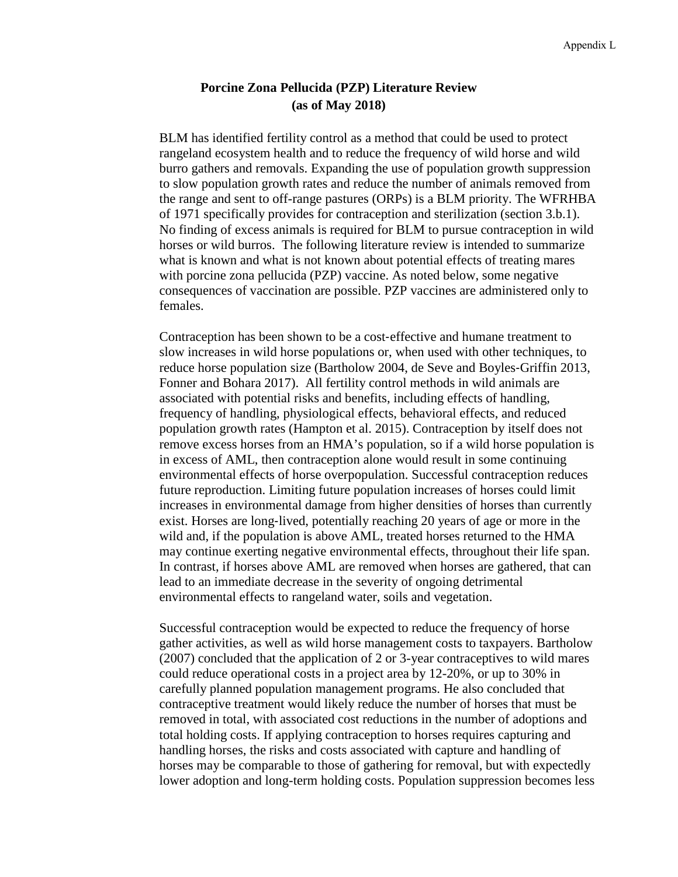# **Porcine Zona Pellucida (PZP) Literature Review (as of May 2018)**

BLM has identified fertility control as a method that could be used to protect rangeland ecosystem health and to reduce the frequency of wild horse and wild burro gathers and removals. Expanding the use of population growth suppression to slow population growth rates and reduce the number of animals removed from the range and sent to off-range pastures (ORPs) is a BLM priority. The WFRHBA of 1971 specifically provides for contraception and sterilization (section 3.b.1). No finding of excess animals is required for BLM to pursue contraception in wild horses or wild burros. The following literature review is intended to summarize what is known and what is not known about potential effects of treating mares with porcine zona pellucida (PZP) vaccine. As noted below, some negative consequences of vaccination are possible. PZP vaccines are administered only to females.

Contraception has been shown to be a cost-effective and humane treatment to slow increases in wild horse populations or, when used with other techniques, to reduce horse population size (Bartholow 2004, de Seve and Boyles‐Griffin 2013, Fonner and Bohara 2017). All fertility control methods in wild animals are associated with potential risks and benefits, including effects of handling, frequency of handling, physiological effects, behavioral effects, and reduced population growth rates (Hampton et al. 2015). Contraception by itself does not remove excess horses from an HMA's population, so if a wild horse population is in excess of AML, then contraception alone would result in some continuing environmental effects of horse overpopulation. Successful contraception reduces future reproduction. Limiting future population increases of horses could limit increases in environmental damage from higher densities of horses than currently exist. Horses are long‐lived, potentially reaching 20 years of age or more in the wild and, if the population is above AML, treated horses returned to the HMA may continue exerting negative environmental effects, throughout their life span. In contrast, if horses above AML are removed when horses are gathered, that can lead to an immediate decrease in the severity of ongoing detrimental environmental effects to rangeland water, soils and vegetation.

Successful contraception would be expected to reduce the frequency of horse gather activities, as well as wild horse management costs to taxpayers. Bartholow (2007) concluded that the application of 2 or 3-year contraceptives to wild mares could reduce operational costs in a project area by 12-20%, or up to 30% in carefully planned population management programs. He also concluded that contraceptive treatment would likely reduce the number of horses that must be removed in total, with associated cost reductions in the number of adoptions and total holding costs. If applying contraception to horses requires capturing and handling horses, the risks and costs associated with capture and handling of horses may be comparable to those of gathering for removal, but with expectedly lower adoption and long-term holding costs. Population suppression becomes less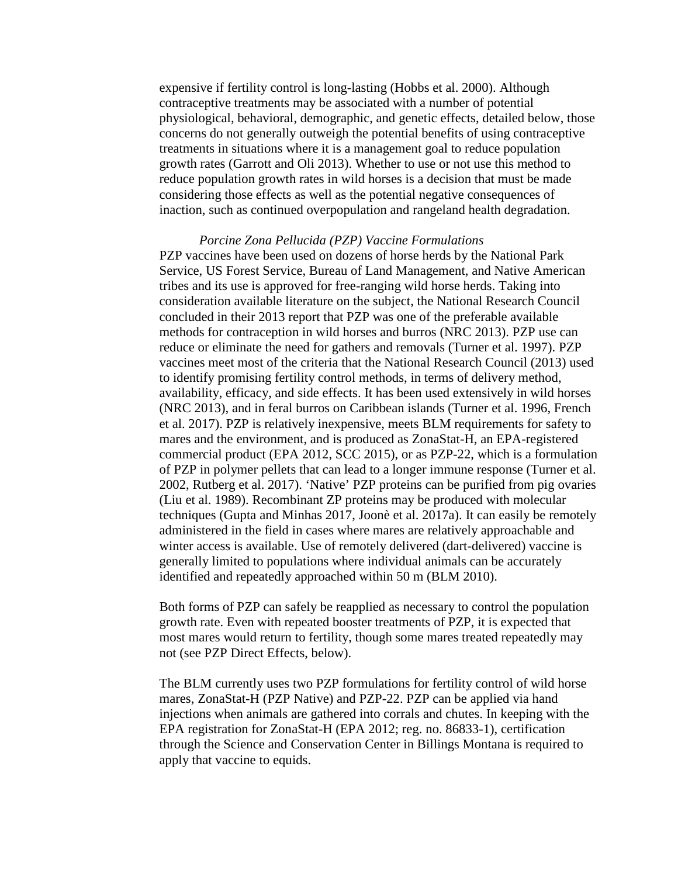expensive if fertility control is long-lasting (Hobbs et al. 2000). Although contraceptive treatments may be associated with a number of potential physiological, behavioral, demographic, and genetic effects, detailed below, those concerns do not generally outweigh the potential benefits of using contraceptive treatments in situations where it is a management goal to reduce population growth rates (Garrott and Oli 2013). Whether to use or not use this method to reduce population growth rates in wild horses is a decision that must be made considering those effects as well as the potential negative consequences of inaction, such as continued overpopulation and rangeland health degradation.

### *Porcine Zona Pellucida (PZP) Vaccine Formulations*

PZP vaccines have been used on dozens of horse herds by the National Park Service, US Forest Service, Bureau of Land Management, and Native American tribes and its use is approved for free-ranging wild horse herds. Taking into consideration available literature on the subject, the National Research Council concluded in their 2013 report that PZP was one of the preferable available methods for contraception in wild horses and burros (NRC 2013). PZP use can reduce or eliminate the need for gathers and removals (Turner et al. 1997). PZP vaccines meet most of the criteria that the National Research Council (2013) used to identify promising fertility control methods, in terms of delivery method, availability, efficacy, and side effects. It has been used extensively in wild horses (NRC 2013), and in feral burros on Caribbean islands (Turner et al. 1996, French et al. 2017). PZP is relatively inexpensive, meets BLM requirements for safety to mares and the environment, and is produced as ZonaStat-H, an EPA-registered commercial product (EPA 2012, SCC 2015), or as PZP-22, which is a formulation of PZP in polymer pellets that can lead to a longer immune response (Turner et al. 2002, Rutberg et al. 2017). 'Native' PZP proteins can be purified from pig ovaries (Liu et al. 1989). Recombinant ZP proteins may be produced with molecular techniques (Gupta and Minhas 2017, Joonè et al. 2017a). It can easily be remotely administered in the field in cases where mares are relatively approachable and winter access is available. Use of remotely delivered (dart-delivered) vaccine is generally limited to populations where individual animals can be accurately identified and repeatedly approached within 50 m (BLM 2010).

Both forms of PZP can safely be reapplied as necessary to control the population growth rate. Even with repeated booster treatments of PZP, it is expected that most mares would return to fertility, though some mares treated repeatedly may not (see PZP Direct Effects, below).

The BLM currently uses two PZP formulations for fertility control of wild horse mares, ZonaStat-H (PZP Native) and PZP-22. PZP can be applied via hand injections when animals are gathered into corrals and chutes. In keeping with the EPA registration for ZonaStat-H (EPA 2012; reg. no. 86833-1), certification through the Science and Conservation Center in Billings Montana is required to apply that vaccine to equids.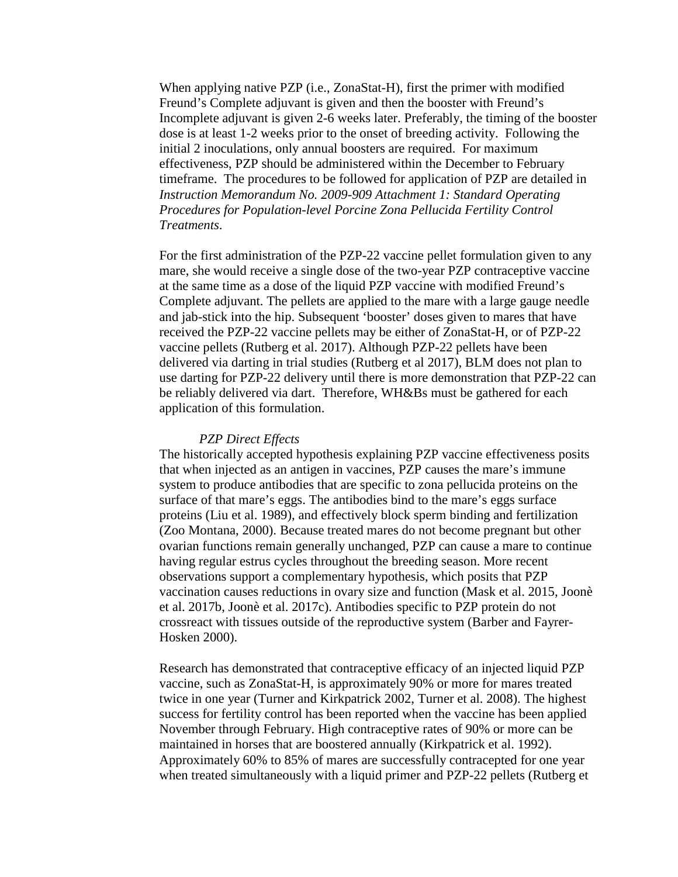When applying native PZP (i.e., ZonaStat-H), first the primer with modified Freund's Complete adjuvant is given and then the booster with Freund's Incomplete adjuvant is given 2-6 weeks later. Preferably, the timing of the booster dose is at least 1-2 weeks prior to the onset of breeding activity. Following the initial 2 inoculations, only annual boosters are required. For maximum effectiveness, PZP should be administered within the December to February timeframe. The procedures to be followed for application of PZP are detailed in *Instruction Memorandum No. 2009-909 Attachment 1: Standard Operating Procedures for Population-level Porcine Zona Pellucida Fertility Control Treatments*.

For the first administration of the PZP-22 vaccine pellet formulation given to any mare, she would receive a single dose of the two-year PZP contraceptive vaccine at the same time as a dose of the liquid PZP vaccine with modified Freund's Complete adjuvant. The pellets are applied to the mare with a large gauge needle and jab-stick into the hip. Subsequent 'booster' doses given to mares that have received the PZP-22 vaccine pellets may be either of ZonaStat-H, or of PZP-22 vaccine pellets (Rutberg et al. 2017). Although PZP-22 pellets have been delivered via darting in trial studies (Rutberg et al 2017), BLM does not plan to use darting for PZP-22 delivery until there is more demonstration that PZP-22 can be reliably delivered via dart. Therefore, WH&Bs must be gathered for each application of this formulation.

#### *PZP Direct Effects*

The historically accepted hypothesis explaining PZP vaccine effectiveness posits that when injected as an antigen in vaccines, PZP causes the mare's immune system to produce antibodies that are specific to zona pellucida proteins on the surface of that mare's eggs. The antibodies bind to the mare's eggs surface proteins (Liu et al. 1989), and effectively block sperm binding and fertilization (Zoo Montana, 2000). Because treated mares do not become pregnant but other ovarian functions remain generally unchanged, PZP can cause a mare to continue having regular estrus cycles throughout the breeding season. More recent observations support a complementary hypothesis, which posits that PZP vaccination causes reductions in ovary size and function (Mask et al. 2015, Joonè et al. 2017b, Joonè et al. 2017c). Antibodies specific to PZP protein do not crossreact with tissues outside of the reproductive system (Barber and Fayrer-Hosken 2000).

Research has demonstrated that contraceptive efficacy of an injected liquid PZP vaccine, such as ZonaStat-H, is approximately 90% or more for mares treated twice in one year (Turner and Kirkpatrick 2002, Turner et al. 2008). The highest success for fertility control has been reported when the vaccine has been applied November through February. High contraceptive rates of 90% or more can be maintained in horses that are boostered annually (Kirkpatrick et al. 1992). Approximately 60% to 85% of mares are successfully contracepted for one year when treated simultaneously with a liquid primer and PZP-22 pellets (Rutberg et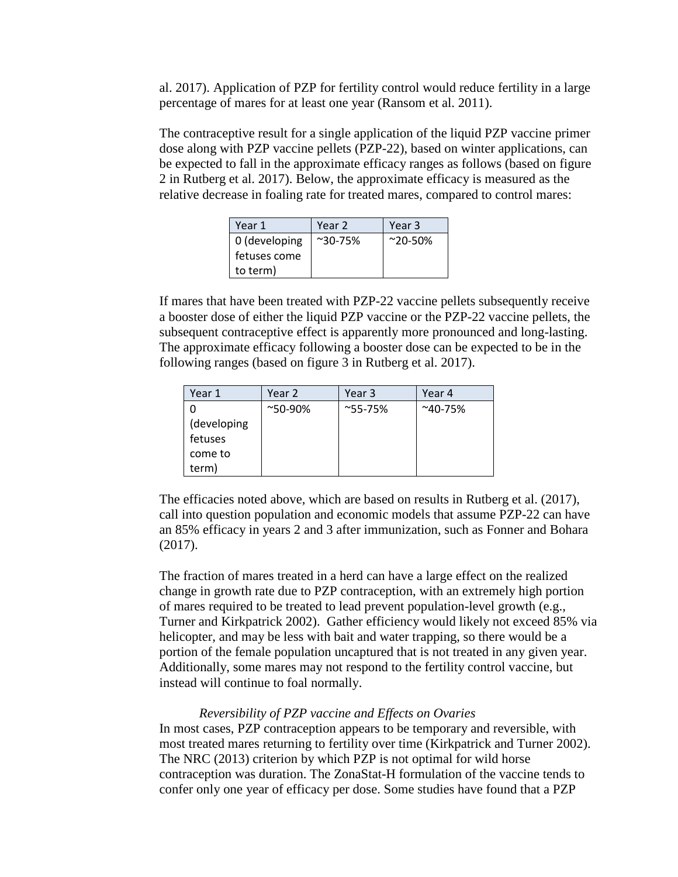al. 2017). Application of PZP for fertility control would reduce fertility in a large percentage of mares for at least one year (Ransom et al. 2011).

The contraceptive result for a single application of the liquid PZP vaccine primer dose along with PZP vaccine pellets (PZP-22), based on winter applications, can be expected to fall in the approximate efficacy ranges as follows (based on figure 2 in Rutberg et al. 2017). Below, the approximate efficacy is measured as the relative decrease in foaling rate for treated mares, compared to control mares:

| Year 1        | Year 2             | Year 3           |
|---------------|--------------------|------------------|
| 0 (developing | $^{\sim}30 - 75\%$ | $^{\sim}$ 20-50% |
| fetuses come  |                    |                  |
| to term)      |                    |                  |

If mares that have been treated with PZP-22 vaccine pellets subsequently receive a booster dose of either the liquid PZP vaccine or the PZP-22 vaccine pellets, the subsequent contraceptive effect is apparently more pronounced and long-lasting. The approximate efficacy following a booster dose can be expected to be in the following ranges (based on figure 3 in Rutberg et al. 2017).

| Year 1      | Year 2           | Year 3           | Year 4           |
|-------------|------------------|------------------|------------------|
|             | $^{\sim}$ 50-90% | $^{\sim}$ 55-75% | $^{\sim}$ 40-75% |
| (developing |                  |                  |                  |
| fetuses     |                  |                  |                  |
| come to     |                  |                  |                  |
| term)       |                  |                  |                  |

The efficacies noted above, which are based on results in Rutberg et al. (2017), call into question population and economic models that assume PZP-22 can have an 85% efficacy in years 2 and 3 after immunization, such as Fonner and Bohara (2017).

The fraction of mares treated in a herd can have a large effect on the realized change in growth rate due to PZP contraception, with an extremely high portion of mares required to be treated to lead prevent population-level growth (e.g., Turner and Kirkpatrick 2002). Gather efficiency would likely not exceed 85% via helicopter, and may be less with bait and water trapping, so there would be a portion of the female population uncaptured that is not treated in any given year. Additionally, some mares may not respond to the fertility control vaccine, but instead will continue to foal normally.

## *Reversibility of PZP vaccine and Effects on Ovaries*

In most cases, PZP contraception appears to be temporary and reversible, with most treated mares returning to fertility over time (Kirkpatrick and Turner 2002). The NRC (2013) criterion by which PZP is not optimal for wild horse contraception was duration. The ZonaStat-H formulation of the vaccine tends to confer only one year of efficacy per dose. Some studies have found that a PZP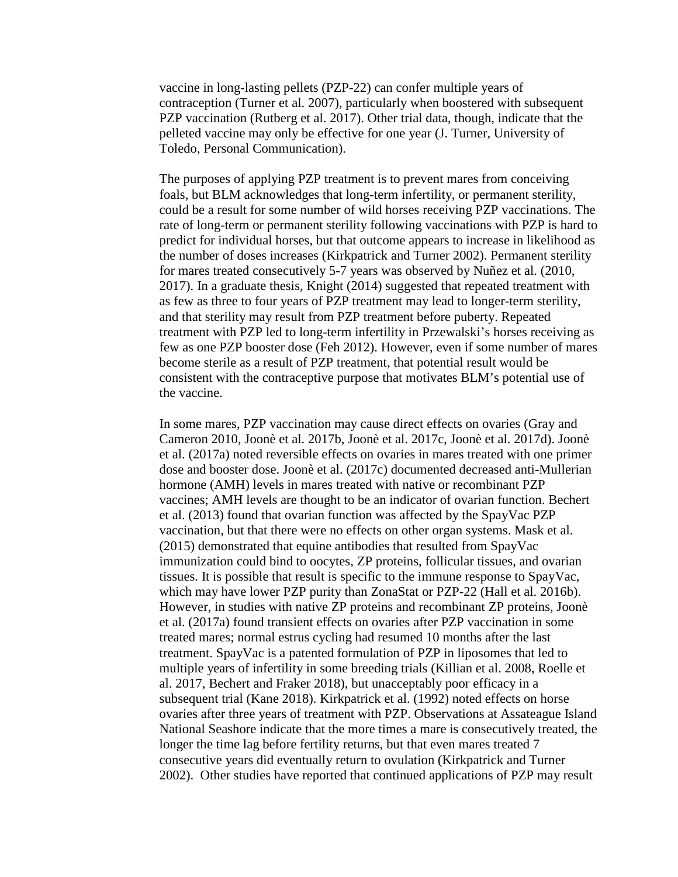vaccine in long-lasting pellets (PZP-22) can confer multiple years of contraception (Turner et al. 2007), particularly when boostered with subsequent PZP vaccination (Rutberg et al. 2017). Other trial data, though, indicate that the pelleted vaccine may only be effective for one year (J. Turner, University of Toledo, Personal Communication).

The purposes of applying PZP treatment is to prevent mares from conceiving foals, but BLM acknowledges that long-term infertility, or permanent sterility, could be a result for some number of wild horses receiving PZP vaccinations. The rate of long-term or permanent sterility following vaccinations with PZP is hard to predict for individual horses, but that outcome appears to increase in likelihood as the number of doses increases (Kirkpatrick and Turner 2002). Permanent sterility for mares treated consecutively 5-7 years was observed by Nuñez et al. (2010, 2017). In a graduate thesis, Knight (2014) suggested that repeated treatment with as few as three to four years of PZP treatment may lead to longer-term sterility, and that sterility may result from PZP treatment before puberty. Repeated treatment with PZP led to long-term infertility in Przewalski's horses receiving as few as one PZP booster dose (Feh 2012). However, even if some number of mares become sterile as a result of PZP treatment, that potential result would be consistent with the contraceptive purpose that motivates BLM's potential use of the vaccine.

In some mares, PZP vaccination may cause direct effects on ovaries (Gray and Cameron 2010, Joonè et al. 2017b, Joonè et al. 2017c, Joonè et al. 2017d). Joonè et al. (2017a) noted reversible effects on ovaries in mares treated with one primer dose and booster dose. Joonè et al. (2017c) documented decreased anti-Mullerian hormone (AMH) levels in mares treated with native or recombinant PZP vaccines; AMH levels are thought to be an indicator of ovarian function. Bechert et al. (2013) found that ovarian function was affected by the SpayVac PZP vaccination, but that there were no effects on other organ systems. Mask et al. (2015) demonstrated that equine antibodies that resulted from SpayVac immunization could bind to oocytes, ZP proteins, follicular tissues, and ovarian tissues. It is possible that result is specific to the immune response to SpayVac, which may have lower PZP purity than ZonaStat or PZP-22 (Hall et al. 2016b). However, in studies with native ZP proteins and recombinant ZP proteins, Joonè et al. (2017a) found transient effects on ovaries after PZP vaccination in some treated mares; normal estrus cycling had resumed 10 months after the last treatment. SpayVac is a patented formulation of PZP in liposomes that led to multiple years of infertility in some breeding trials (Killian et al. 2008, Roelle et al. 2017, Bechert and Fraker 2018), but unacceptably poor efficacy in a subsequent trial (Kane 2018). Kirkpatrick et al. (1992) noted effects on horse ovaries after three years of treatment with PZP. Observations at Assateague Island National Seashore indicate that the more times a mare is consecutively treated, the longer the time lag before fertility returns, but that even mares treated 7 consecutive years did eventually return to ovulation (Kirkpatrick and Turner 2002). Other studies have reported that continued applications of PZP may result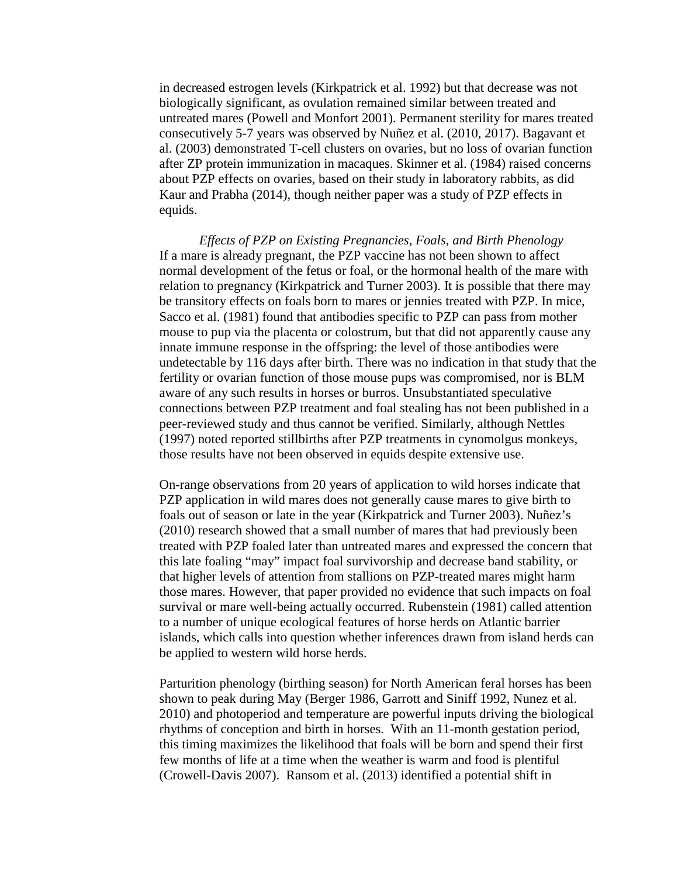in decreased estrogen levels (Kirkpatrick et al. 1992) but that decrease was not biologically significant, as ovulation remained similar between treated and untreated mares (Powell and Monfort 2001). Permanent sterility for mares treated consecutively 5-7 years was observed by Nuñez et al. (2010, 2017). Bagavant et al. (2003) demonstrated T-cell clusters on ovaries, but no loss of ovarian function after ZP protein immunization in macaques. Skinner et al. (1984) raised concerns about PZP effects on ovaries, based on their study in laboratory rabbits, as did Kaur and Prabha (2014), though neither paper was a study of PZP effects in equids.

*Effects of PZP on Existing Pregnancies, Foals, and Birth Phenology* If a mare is already pregnant, the PZP vaccine has not been shown to affect normal development of the fetus or foal, or the hormonal health of the mare with relation to pregnancy (Kirkpatrick and Turner 2003). It is possible that there may be transitory effects on foals born to mares or jennies treated with PZP. In mice, Sacco et al. (1981) found that antibodies specific to PZP can pass from mother mouse to pup via the placenta or colostrum, but that did not apparently cause any innate immune response in the offspring: the level of those antibodies were undetectable by 116 days after birth. There was no indication in that study that the fertility or ovarian function of those mouse pups was compromised, nor is BLM aware of any such results in horses or burros. Unsubstantiated speculative connections between PZP treatment and foal stealing has not been published in a peer-reviewed study and thus cannot be verified. Similarly, although Nettles (1997) noted reported stillbirths after PZP treatments in cynomolgus monkeys, those results have not been observed in equids despite extensive use.

On-range observations from 20 years of application to wild horses indicate that PZP application in wild mares does not generally cause mares to give birth to foals out of season or late in the year (Kirkpatrick and Turner 2003). Nuñez's (2010) research showed that a small number of mares that had previously been treated with PZP foaled later than untreated mares and expressed the concern that this late foaling "may" impact foal survivorship and decrease band stability, or that higher levels of attention from stallions on PZP-treated mares might harm those mares. However, that paper provided no evidence that such impacts on foal survival or mare well-being actually occurred. Rubenstein (1981) called attention to a number of unique ecological features of horse herds on Atlantic barrier islands, which calls into question whether inferences drawn from island herds can be applied to western wild horse herds.

Parturition phenology (birthing season) for North American feral horses has been shown to peak during May (Berger 1986, Garrott and Siniff 1992, Nunez et al. 2010) and photoperiod and temperature are powerful inputs driving the biological rhythms of conception and birth in horses. With an 11-month gestation period, this timing maximizes the likelihood that foals will be born and spend their first few months of life at a time when the weather is warm and food is plentiful (Crowell-Davis 2007). Ransom et al. (2013) identified a potential shift in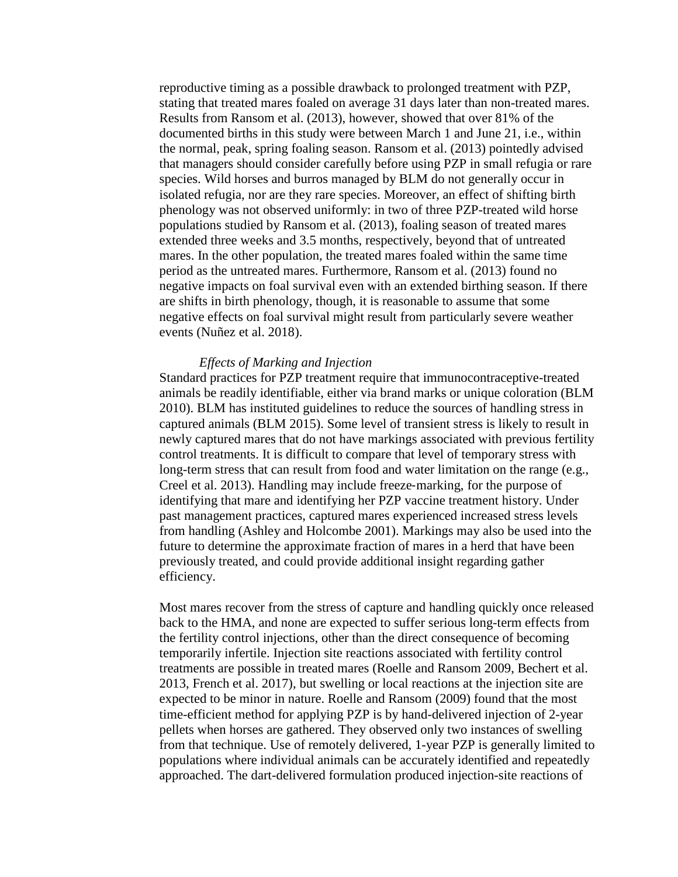reproductive timing as a possible drawback to prolonged treatment with PZP, stating that treated mares foaled on average 31 days later than non-treated mares. Results from Ransom et al. (2013), however, showed that over 81% of the documented births in this study were between March 1 and June 21, i.e., within the normal, peak, spring foaling season. Ransom et al. (2013) pointedly advised that managers should consider carefully before using PZP in small refugia or rare species. Wild horses and burros managed by BLM do not generally occur in isolated refugia, nor are they rare species. Moreover, an effect of shifting birth phenology was not observed uniformly: in two of three PZP-treated wild horse populations studied by Ransom et al. (2013), foaling season of treated mares extended three weeks and 3.5 months, respectively, beyond that of untreated mares. In the other population, the treated mares foaled within the same time period as the untreated mares. Furthermore, Ransom et al. (2013) found no negative impacts on foal survival even with an extended birthing season. If there are shifts in birth phenology, though, it is reasonable to assume that some negative effects on foal survival might result from particularly severe weather events (Nuñez et al. 2018).

#### *Effects of Marking and Injection*

Standard practices for PZP treatment require that immunocontraceptive-treated animals be readily identifiable, either via brand marks or unique coloration (BLM 2010). BLM has instituted guidelines to reduce the sources of handling stress in captured animals (BLM 2015). Some level of transient stress is likely to result in newly captured mares that do not have markings associated with previous fertility control treatments. It is difficult to compare that level of temporary stress with long-term stress that can result from food and water limitation on the range (e.g., Creel et al. 2013). Handling may include freeze‐marking, for the purpose of identifying that mare and identifying her PZP vaccine treatment history. Under past management practices, captured mares experienced increased stress levels from handling (Ashley and Holcombe 2001). Markings may also be used into the future to determine the approximate fraction of mares in a herd that have been previously treated, and could provide additional insight regarding gather efficiency.

Most mares recover from the stress of capture and handling quickly once released back to the HMA, and none are expected to suffer serious long-term effects from the fertility control injections, other than the direct consequence of becoming temporarily infertile. Injection site reactions associated with fertility control treatments are possible in treated mares (Roelle and Ransom 2009, Bechert et al. 2013, French et al. 2017), but swelling or local reactions at the injection site are expected to be minor in nature. Roelle and Ransom (2009) found that the most time-efficient method for applying PZP is by hand-delivered injection of 2-year pellets when horses are gathered. They observed only two instances of swelling from that technique. Use of remotely delivered, 1-year PZP is generally limited to populations where individual animals can be accurately identified and repeatedly approached. The dart-delivered formulation produced injection-site reactions of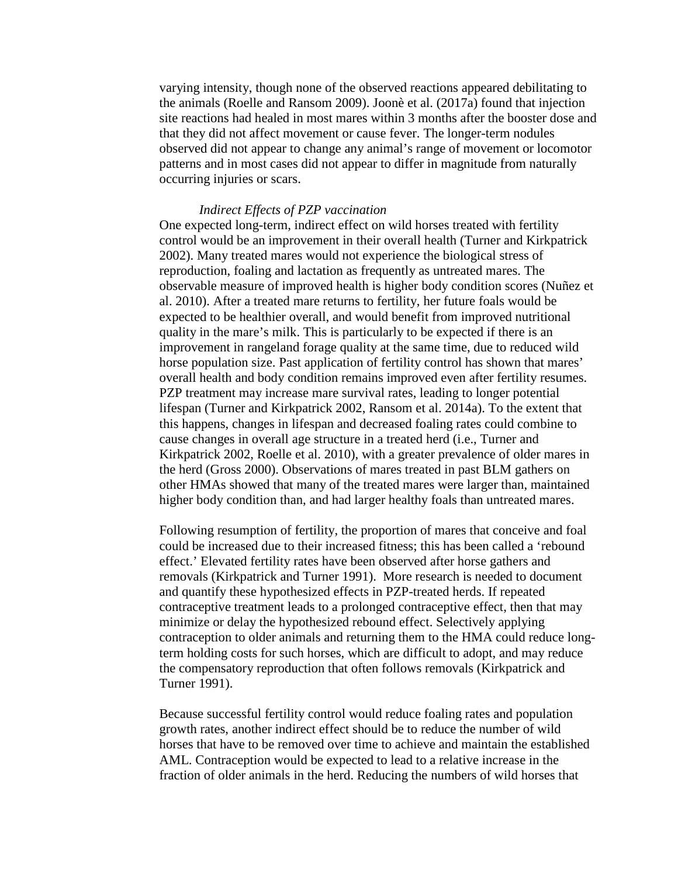varying intensity, though none of the observed reactions appeared debilitating to the animals (Roelle and Ransom 2009). Joonè et al. (2017a) found that injection site reactions had healed in most mares within 3 months after the booster dose and that they did not affect movement or cause fever. The longer-term nodules observed did not appear to change any animal's range of movement or locomotor patterns and in most cases did not appear to differ in magnitude from naturally occurring injuries or scars.

## *Indirect Effects of PZP vaccination*

One expected long-term, indirect effect on wild horses treated with fertility control would be an improvement in their overall health (Turner and Kirkpatrick 2002). Many treated mares would not experience the biological stress of reproduction, foaling and lactation as frequently as untreated mares. The observable measure of improved health is higher body condition scores (Nuñez et al. 2010). After a treated mare returns to fertility, her future foals would be expected to be healthier overall, and would benefit from improved nutritional quality in the mare's milk. This is particularly to be expected if there is an improvement in rangeland forage quality at the same time, due to reduced wild horse population size. Past application of fertility control has shown that mares' overall health and body condition remains improved even after fertility resumes. PZP treatment may increase mare survival rates, leading to longer potential lifespan (Turner and Kirkpatrick 2002, Ransom et al. 2014a). To the extent that this happens, changes in lifespan and decreased foaling rates could combine to cause changes in overall age structure in a treated herd (i.e., Turner and Kirkpatrick 2002, Roelle et al. 2010), with a greater prevalence of older mares in the herd (Gross 2000). Observations of mares treated in past BLM gathers on other HMAs showed that many of the treated mares were larger than, maintained higher body condition than, and had larger healthy foals than untreated mares.

Following resumption of fertility, the proportion of mares that conceive and foal could be increased due to their increased fitness; this has been called a 'rebound effect.' Elevated fertility rates have been observed after horse gathers and removals (Kirkpatrick and Turner 1991). More research is needed to document and quantify these hypothesized effects in PZP-treated herds. If repeated contraceptive treatment leads to a prolonged contraceptive effect, then that may minimize or delay the hypothesized rebound effect. Selectively applying contraception to older animals and returning them to the HMA could reduce longterm holding costs for such horses, which are difficult to adopt, and may reduce the compensatory reproduction that often follows removals (Kirkpatrick and Turner 1991).

Because successful fertility control would reduce foaling rates and population growth rates, another indirect effect should be to reduce the number of wild horses that have to be removed over time to achieve and maintain the established AML. Contraception would be expected to lead to a relative increase in the fraction of older animals in the herd. Reducing the numbers of wild horses that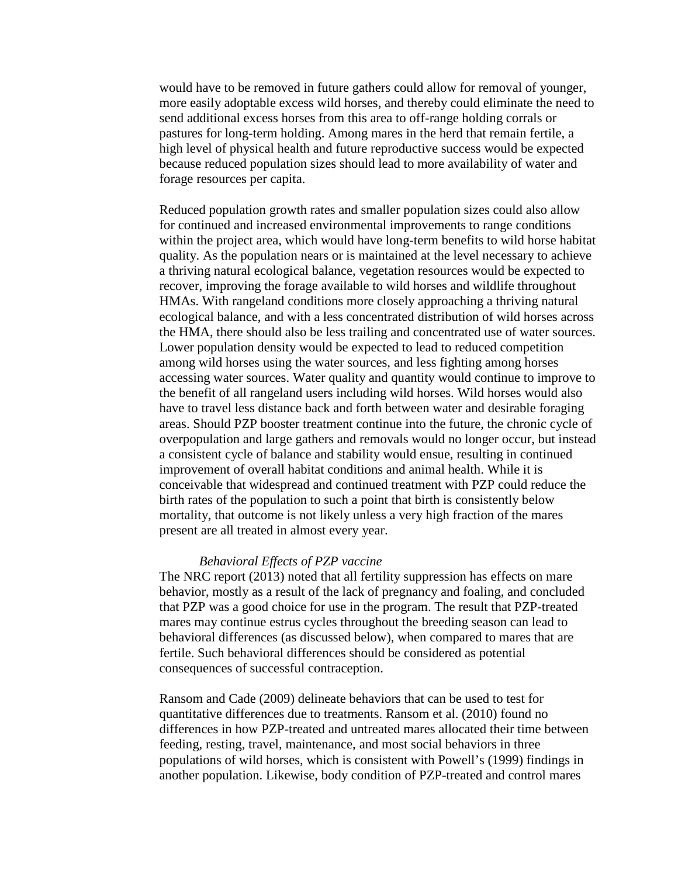would have to be removed in future gathers could allow for removal of younger, more easily adoptable excess wild horses, and thereby could eliminate the need to send additional excess horses from this area to off-range holding corrals or pastures for long-term holding. Among mares in the herd that remain fertile, a high level of physical health and future reproductive success would be expected because reduced population sizes should lead to more availability of water and forage resources per capita.

Reduced population growth rates and smaller population sizes could also allow for continued and increased environmental improvements to range conditions within the project area, which would have long-term benefits to wild horse habitat quality. As the population nears or is maintained at the level necessary to achieve a thriving natural ecological balance, vegetation resources would be expected to recover, improving the forage available to wild horses and wildlife throughout HMAs. With rangeland conditions more closely approaching a thriving natural ecological balance, and with a less concentrated distribution of wild horses across the HMA, there should also be less trailing and concentrated use of water sources. Lower population density would be expected to lead to reduced competition among wild horses using the water sources, and less fighting among horses accessing water sources. Water quality and quantity would continue to improve to the benefit of all rangeland users including wild horses. Wild horses would also have to travel less distance back and forth between water and desirable foraging areas. Should PZP booster treatment continue into the future, the chronic cycle of overpopulation and large gathers and removals would no longer occur, but instead a consistent cycle of balance and stability would ensue, resulting in continued improvement of overall habitat conditions and animal health. While it is conceivable that widespread and continued treatment with PZP could reduce the birth rates of the population to such a point that birth is consistently below mortality, that outcome is not likely unless a very high fraction of the mares present are all treated in almost every year.

## *Behavioral Effects of PZP vaccine*

The NRC report (2013) noted that all fertility suppression has effects on mare behavior, mostly as a result of the lack of pregnancy and foaling, and concluded that PZP was a good choice for use in the program. The result that PZP-treated mares may continue estrus cycles throughout the breeding season can lead to behavioral differences (as discussed below), when compared to mares that are fertile. Such behavioral differences should be considered as potential consequences of successful contraception.

Ransom and Cade (2009) delineate behaviors that can be used to test for quantitative differences due to treatments. Ransom et al. (2010) found no differences in how PZP-treated and untreated mares allocated their time between feeding, resting, travel, maintenance, and most social behaviors in three populations of wild horses, which is consistent with Powell's (1999) findings in another population. Likewise, body condition of PZP-treated and control mares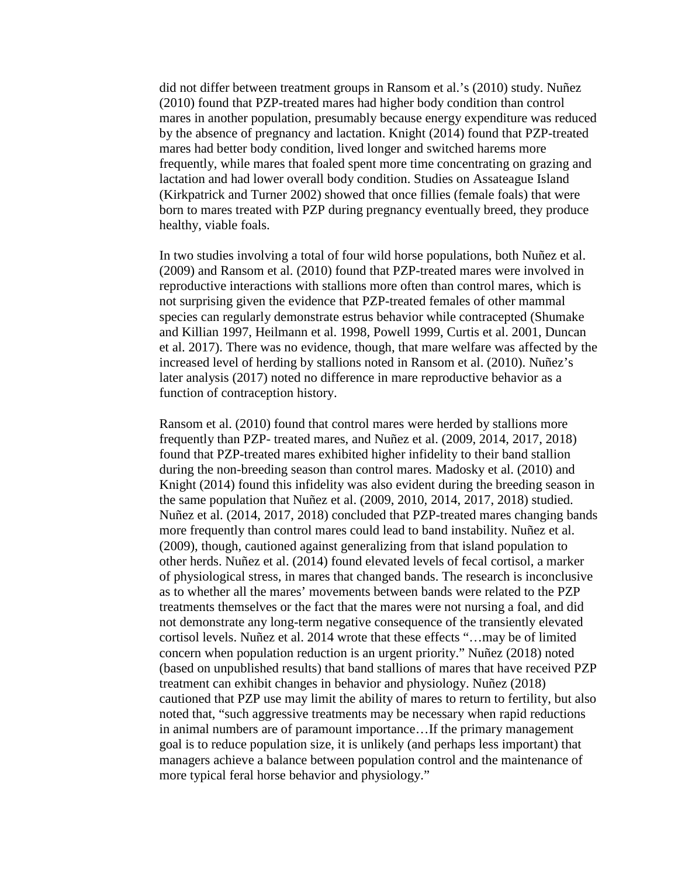did not differ between treatment groups in Ransom et al.'s (2010) study. Nuñez (2010) found that PZP-treated mares had higher body condition than control mares in another population, presumably because energy expenditure was reduced by the absence of pregnancy and lactation. Knight (2014) found that PZP-treated mares had better body condition, lived longer and switched harems more frequently, while mares that foaled spent more time concentrating on grazing and lactation and had lower overall body condition. Studies on Assateague Island (Kirkpatrick and Turner 2002) showed that once fillies (female foals) that were born to mares treated with PZP during pregnancy eventually breed, they produce healthy, viable foals.

In two studies involving a total of four wild horse populations, both Nuñez et al. (2009) and Ransom et al. (2010) found that PZP-treated mares were involved in reproductive interactions with stallions more often than control mares, which is not surprising given the evidence that PZP-treated females of other mammal species can regularly demonstrate estrus behavior while contracepted (Shumake and Killian 1997, Heilmann et al. 1998, Powell 1999, Curtis et al. 2001, Duncan et al. 2017). There was no evidence, though, that mare welfare was affected by the increased level of herding by stallions noted in Ransom et al. (2010). Nuñez's later analysis (2017) noted no difference in mare reproductive behavior as a function of contraception history.

Ransom et al. (2010) found that control mares were herded by stallions more frequently than PZP- treated mares, and Nuñez et al. (2009, 2014, 2017, 2018) found that PZP-treated mares exhibited higher infidelity to their band stallion during the non-breeding season than control mares. Madosky et al. (2010) and Knight (2014) found this infidelity was also evident during the breeding season in the same population that Nuñez et al. (2009, 2010, 2014, 2017, 2018) studied. Nuñez et al. (2014, 2017, 2018) concluded that PZP-treated mares changing bands more frequently than control mares could lead to band instability. Nuñez et al. (2009), though, cautioned against generalizing from that island population to other herds. Nuñez et al. (2014) found elevated levels of fecal cortisol, a marker of physiological stress, in mares that changed bands. The research is inconclusive as to whether all the mares' movements between bands were related to the PZP treatments themselves or the fact that the mares were not nursing a foal, and did not demonstrate any long-term negative consequence of the transiently elevated cortisol levels. Nuñez et al. 2014 wrote that these effects "…may be of limited concern when population reduction is an urgent priority." Nuñez (2018) noted (based on unpublished results) that band stallions of mares that have received PZP treatment can exhibit changes in behavior and physiology. Nuñez (2018) cautioned that PZP use may limit the ability of mares to return to fertility, but also noted that, "such aggressive treatments may be necessary when rapid reductions in animal numbers are of paramount importance…If the primary management goal is to reduce population size, it is unlikely (and perhaps less important) that managers achieve a balance between population control and the maintenance of more typical feral horse behavior and physiology."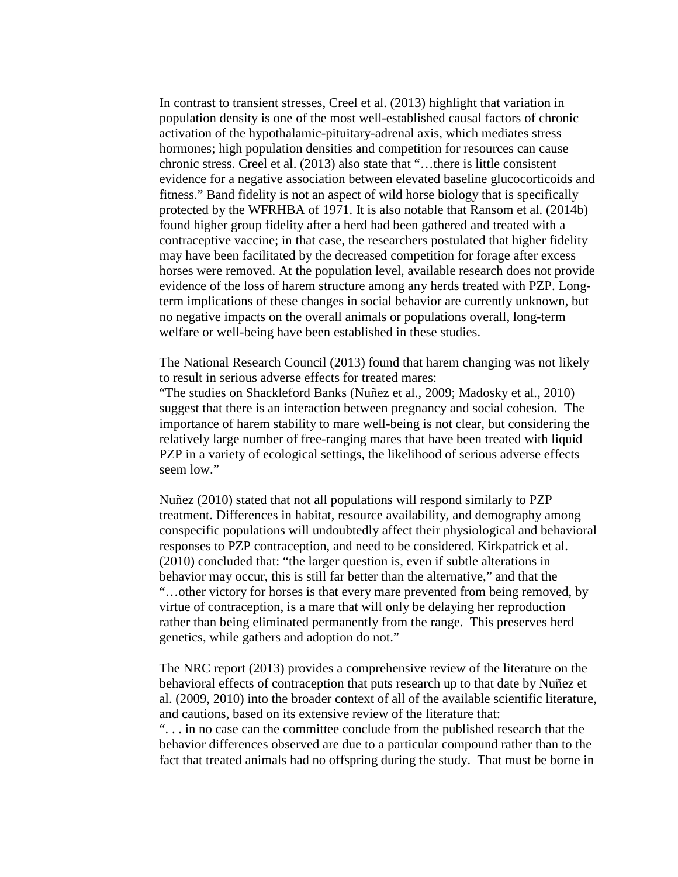In contrast to transient stresses, Creel et al. (2013) highlight that variation in population density is one of the most well-established causal factors of chronic activation of the hypothalamic-pituitary-adrenal axis, which mediates stress hormones; high population densities and competition for resources can cause chronic stress. Creel et al. (2013) also state that "…there is little consistent evidence for a negative association between elevated baseline glucocorticoids and fitness." Band fidelity is not an aspect of wild horse biology that is specifically protected by the WFRHBA of 1971. It is also notable that Ransom et al. (2014b) found higher group fidelity after a herd had been gathered and treated with a contraceptive vaccine; in that case, the researchers postulated that higher fidelity may have been facilitated by the decreased competition for forage after excess horses were removed. At the population level, available research does not provide evidence of the loss of harem structure among any herds treated with PZP. Longterm implications of these changes in social behavior are currently unknown, but no negative impacts on the overall animals or populations overall, long-term welfare or well-being have been established in these studies.

The National Research Council (2013) found that harem changing was not likely to result in serious adverse effects for treated mares:

"The studies on Shackleford Banks (Nuñez et al., 2009; Madosky et al., 2010) suggest that there is an interaction between pregnancy and social cohesion. The importance of harem stability to mare well-being is not clear, but considering the relatively large number of free-ranging mares that have been treated with liquid PZP in a variety of ecological settings, the likelihood of serious adverse effects seem low."

Nuñez (2010) stated that not all populations will respond similarly to PZP treatment. Differences in habitat, resource availability, and demography among conspecific populations will undoubtedly affect their physiological and behavioral responses to PZP contraception, and need to be considered. Kirkpatrick et al. (2010) concluded that: "the larger question is, even if subtle alterations in behavior may occur, this is still far better than the alternative," and that the "…other victory for horses is that every mare prevented from being removed, by virtue of contraception, is a mare that will only be delaying her reproduction rather than being eliminated permanently from the range. This preserves herd genetics, while gathers and adoption do not."

The NRC report (2013) provides a comprehensive review of the literature on the behavioral effects of contraception that puts research up to that date by Nuñez et al. (2009, 2010) into the broader context of all of the available scientific literature, and cautions, based on its extensive review of the literature that:

". . . in no case can the committee conclude from the published research that the behavior differences observed are due to a particular compound rather than to the fact that treated animals had no offspring during the study. That must be borne in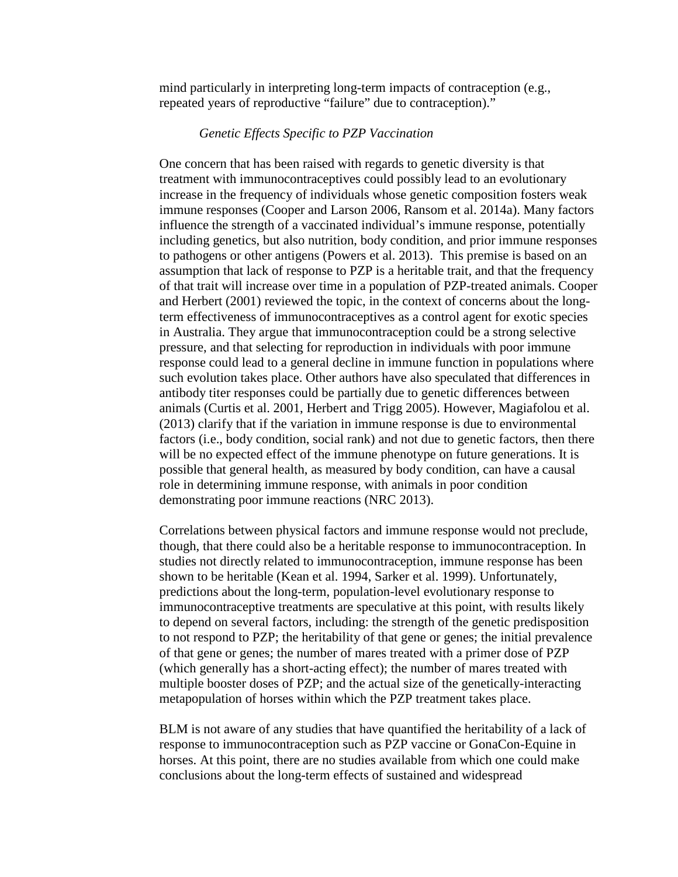mind particularly in interpreting long-term impacts of contraception (e.g., repeated years of reproductive "failure" due to contraception)."

## *Genetic Effects Specific to PZP Vaccination*

One concern that has been raised with regards to genetic diversity is that treatment with immunocontraceptives could possibly lead to an evolutionary increase in the frequency of individuals whose genetic composition fosters weak immune responses (Cooper and Larson 2006, Ransom et al. 2014a). Many factors influence the strength of a vaccinated individual's immune response, potentially including genetics, but also nutrition, body condition, and prior immune responses to pathogens or other antigens (Powers et al. 2013). This premise is based on an assumption that lack of response to PZP is a heritable trait, and that the frequency of that trait will increase over time in a population of PZP-treated animals. Cooper and Herbert (2001) reviewed the topic, in the context of concerns about the longterm effectiveness of immunocontraceptives as a control agent for exotic species in Australia. They argue that immunocontraception could be a strong selective pressure, and that selecting for reproduction in individuals with poor immune response could lead to a general decline in immune function in populations where such evolution takes place. Other authors have also speculated that differences in antibody titer responses could be partially due to genetic differences between animals (Curtis et al. 2001, Herbert and Trigg 2005). However, Magiafolou et al. (2013) clarify that if the variation in immune response is due to environmental factors (i.e., body condition, social rank) and not due to genetic factors, then there will be no expected effect of the immune phenotype on future generations. It is possible that general health, as measured by body condition, can have a causal role in determining immune response, with animals in poor condition demonstrating poor immune reactions (NRC 2013).

Correlations between physical factors and immune response would not preclude, though, that there could also be a heritable response to immunocontraception. In studies not directly related to immunocontraception, immune response has been shown to be heritable (Kean et al. 1994, Sarker et al. 1999). Unfortunately, predictions about the long-term, population-level evolutionary response to immunocontraceptive treatments are speculative at this point, with results likely to depend on several factors, including: the strength of the genetic predisposition to not respond to PZP; the heritability of that gene or genes; the initial prevalence of that gene or genes; the number of mares treated with a primer dose of PZP (which generally has a short-acting effect); the number of mares treated with multiple booster doses of PZP; and the actual size of the genetically-interacting metapopulation of horses within which the PZP treatment takes place.

BLM is not aware of any studies that have quantified the heritability of a lack of response to immunocontraception such as PZP vaccine or GonaCon-Equine in horses. At this point, there are no studies available from which one could make conclusions about the long-term effects of sustained and widespread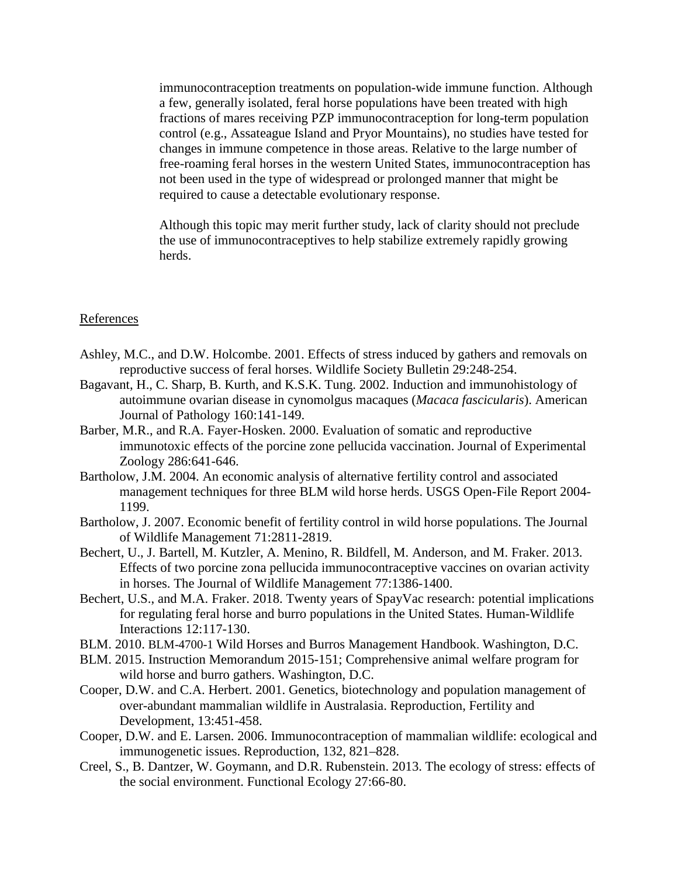immunocontraception treatments on population-wide immune function. Although a few, generally isolated, feral horse populations have been treated with high fractions of mares receiving PZP immunocontraception for long-term population control (e.g., Assateague Island and Pryor Mountains), no studies have tested for changes in immune competence in those areas. Relative to the large number of free-roaming feral horses in the western United States, immunocontraception has not been used in the type of widespread or prolonged manner that might be required to cause a detectable evolutionary response.

Although this topic may merit further study, lack of clarity should not preclude the use of immunocontraceptives to help stabilize extremely rapidly growing herds.

### References

- Ashley, M.C., and D.W. Holcombe. 2001. Effects of stress induced by gathers and removals on reproductive success of feral horses. Wildlife Society Bulletin 29:248-254.
- Bagavant, H., C. Sharp, B. Kurth, and K.S.K. Tung. 2002. Induction and immunohistology of autoimmune ovarian disease in cynomolgus macaques (*Macaca fascicularis*). American Journal of Pathology 160:141-149.
- Barber, M.R., and R.A. Fayer-Hosken. 2000. Evaluation of somatic and reproductive immunotoxic effects of the porcine zone pellucida vaccination. Journal of Experimental Zoology 286:641-646.
- Bartholow, J.M. 2004. An economic analysis of alternative fertility control and associated management techniques for three BLM wild horse herds. USGS Open-File Report 2004- 1199.
- Bartholow, J. 2007. Economic benefit of fertility control in wild horse populations. The Journal of Wildlife Management 71:2811-2819.
- Bechert, U., J. Bartell, M. Kutzler, A. Menino, R. Bildfell, M. Anderson, and M. Fraker. 2013. Effects of two porcine zona pellucida immunocontraceptive vaccines on ovarian activity in horses. The Journal of Wildlife Management 77:1386-1400.
- Bechert, U.S., and M.A. Fraker. 2018. Twenty years of SpayVac research: potential implications for regulating feral horse and burro populations in the United States. Human-Wildlife Interactions 12:117-130.
- BLM. 2010. BLM-4700-1 Wild Horses and Burros Management Handbook. Washington, D.C.
- BLM. 2015. Instruction Memorandum 2015-151; Comprehensive animal welfare program for wild horse and burro gathers. Washington, D.C.
- Cooper, D.W. and C.A. Herbert. 2001. Genetics, biotechnology and population management of over-abundant mammalian wildlife in Australasia. Reproduction, Fertility and Development, 13:451-458.
- Cooper, D.W. and E. Larsen. 2006. Immunocontraception of mammalian wildlife: ecological and immunogenetic issues. Reproduction, 132, 821–828.
- Creel, S., B. Dantzer, W. Goymann, and D.R. Rubenstein. 2013. The ecology of stress: effects of the social environment. Functional Ecology 27:66-80.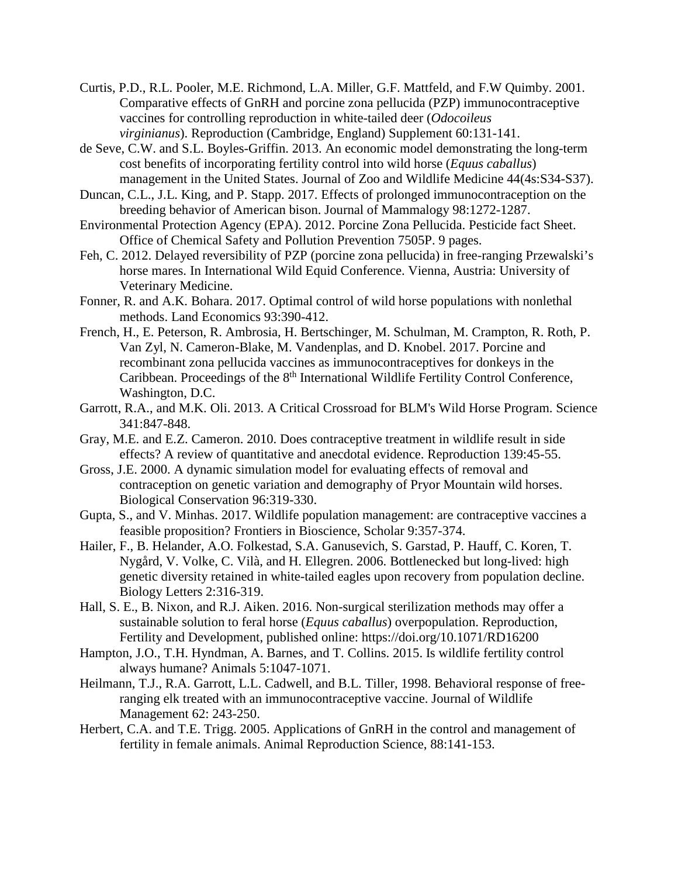- Curtis, P.D., R.L. Pooler, M.E. Richmond, L.A. Miller, G.F. Mattfeld, and F.W Quimby. 2001. Comparative effects of GnRH and porcine zona pellucida (PZP) immunocontraceptive vaccines for controlling reproduction in white-tailed deer (*Odocoileus virginianus*). Reproduction (Cambridge, England) Supplement 60:131-141.
- de Seve, C.W. and S.L. Boyles-Griffin. 2013. An economic model demonstrating the long-term cost benefits of incorporating fertility control into wild horse (*Equus caballus*) management in the United States. Journal of Zoo and Wildlife Medicine 44(4s:S34-S37).
- Duncan, C.L., J.L. King, and P. Stapp. 2017. Effects of prolonged immunocontraception on the breeding behavior of American bison. Journal of Mammalogy 98:1272-1287.
- Environmental Protection Agency (EPA). 2012. Porcine Zona Pellucida. Pesticide fact Sheet. Office of Chemical Safety and Pollution Prevention 7505P. 9 pages.
- Feh, C. 2012. Delayed reversibility of PZP (porcine zona pellucida) in free-ranging Przewalski's horse mares. In International Wild Equid Conference. Vienna, Austria: University of Veterinary Medicine.
- Fonner, R. and A.K. Bohara. 2017. Optimal control of wild horse populations with nonlethal methods. Land Economics 93:390-412.
- French, H., E. Peterson, R. Ambrosia, H. Bertschinger, M. Schulman, M. Crampton, R. Roth, P. Van Zyl, N. Cameron-Blake, M. Vandenplas, and D. Knobel. 2017. Porcine and recombinant zona pellucida vaccines as immunocontraceptives for donkeys in the Caribbean. Proceedings of the 8<sup>th</sup> International Wildlife Fertility Control Conference, Washington, D.C.
- Garrott, R.A., and M.K. Oli. 2013. A Critical Crossroad for BLM's Wild Horse Program. Science 341:847-848.
- Gray, M.E. and E.Z. Cameron. 2010. Does contraceptive treatment in wildlife result in side effects? A review of quantitative and anecdotal evidence. Reproduction 139:45-55.
- Gross, J.E. 2000. A dynamic simulation model for evaluating effects of removal and contraception on genetic variation and demography of Pryor Mountain wild horses. Biological Conservation 96:319-330.
- Gupta, S., and V. Minhas. 2017. Wildlife population management: are contraceptive vaccines a feasible proposition? Frontiers in Bioscience, Scholar 9:357-374.
- Hailer, F., B. Helander, A.O. Folkestad, S.A. Ganusevich, S. Garstad, P. Hauff, C. Koren, T. Nygård, V. Volke, C. Vilà, and H. Ellegren. 2006. Bottlenecked but long-lived: high genetic diversity retained in white-tailed eagles upon recovery from population decline. Biology Letters 2:316-319.
- Hall, S. E., B. Nixon, and R.J. Aiken. 2016. Non-surgical sterilization methods may offer a sustainable solution to feral horse (*Equus caballus*) overpopulation. Reproduction, Fertility and Development, published online: https://doi.org/10.1071/RD16200
- Hampton, J.O., T.H. Hyndman, A. Barnes, and T. Collins. 2015. Is wildlife fertility control always humane? Animals 5:1047-1071.
- Heilmann, T.J., R.A. Garrott, L.L. Cadwell, and B.L. Tiller, 1998. Behavioral response of freeranging elk treated with an immunocontraceptive vaccine. Journal of Wildlife Management 62: 243-250.
- Herbert, C.A. and T.E. Trigg. 2005. Applications of GnRH in the control and management of fertility in female animals. Animal Reproduction Science, 88:141-153.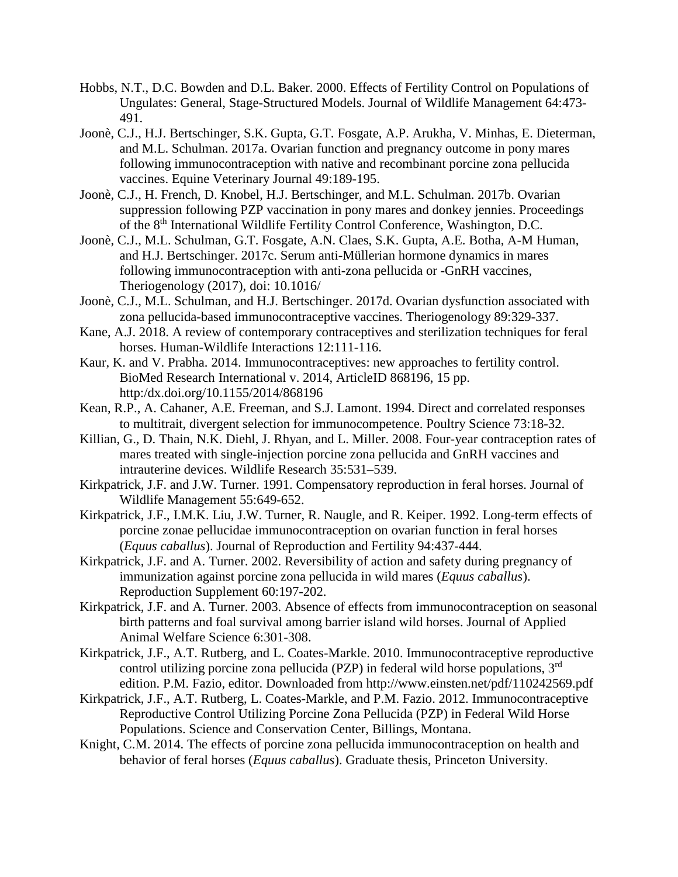- Hobbs, N.T., D.C. Bowden and D.L. Baker. 2000. Effects of Fertility Control on Populations of Ungulates: General, Stage-Structured Models. Journal of Wildlife Management 64:473- 491.
- Joonè, C.J., H.J. Bertschinger, S.K. Gupta, G.T. Fosgate, A.P. Arukha, V. Minhas, E. Dieterman, and M.L. Schulman. 2017a. Ovarian function and pregnancy outcome in pony mares following immunocontraception with native and recombinant porcine zona pellucida vaccines. Equine Veterinary Journal 49:189-195.
- Joonè, C.J., H. French, D. Knobel, H.J. Bertschinger, and M.L. Schulman. 2017b. Ovarian suppression following PZP vaccination in pony mares and donkey jennies. Proceedings of the 8th International Wildlife Fertility Control Conference, Washington, D.C.
- Joonè, C.J., M.L. Schulman, G.T. Fosgate, A.N. Claes, S.K. Gupta, A.E. Botha, A-M Human, and H.J. Bertschinger. 2017c. Serum anti-Müllerian hormone dynamics in mares following immunocontraception with anti-zona pellucida or -GnRH vaccines, Theriogenology (2017), doi: 10.1016/
- Joonè, C.J., M.L. Schulman, and H.J. Bertschinger. 2017d. Ovarian dysfunction associated with zona pellucida-based immunocontraceptive vaccines. Theriogenology 89:329-337.
- Kane, A.J. 2018. A review of contemporary contraceptives and sterilization techniques for feral horses. Human-Wildlife Interactions 12:111-116.
- Kaur, K. and V. Prabha. 2014. Immunocontraceptives: new approaches to fertility control. BioMed Research International v. 2014, ArticleID 868196, 15 pp. http:/dx.doi.org/10.1155/2014/868196
- Kean, R.P., A. Cahaner, A.E. Freeman, and S.J. Lamont. 1994. Direct and correlated responses to multitrait, divergent selection for immunocompetence. Poultry Science 73:18-32.
- Killian, G., D. Thain, N.K. Diehl, J. Rhyan, and L. Miller. 2008. Four-year contraception rates of mares treated with single-injection porcine zona pellucida and GnRH vaccines and intrauterine devices. Wildlife Research 35:531–539.
- Kirkpatrick, J.F. and J.W. Turner. 1991. Compensatory reproduction in feral horses. Journal of Wildlife Management 55:649-652.
- Kirkpatrick, J.F., I.M.K. Liu, J.W. Turner, R. Naugle, and R. Keiper. 1992. Long-term effects of porcine zonae pellucidae immunocontraception on ovarian function in feral horses (*Equus caballus*). Journal of Reproduction and Fertility 94:437-444.
- Kirkpatrick, J.F. and A. Turner. 2002. Reversibility of action and safety during pregnancy of immunization against porcine zona pellucida in wild mares (*Equus caballus*). Reproduction Supplement 60:197-202.
- Kirkpatrick, J.F. and A. Turner. 2003. Absence of effects from immunocontraception on seasonal birth patterns and foal survival among barrier island wild horses. Journal of Applied Animal Welfare Science 6:301-308.
- Kirkpatrick, J.F., A.T. Rutberg, and L. Coates-Markle. 2010. Immunocontraceptive reproductive control utilizing porcine zona pellucida (PZP) in federal wild horse populations,  $3<sup>rd</sup>$ edition. P.M. Fazio, editor. Downloaded from http://www.einsten.net/pdf/110242569.pdf
- Kirkpatrick, J.F., A.T. Rutberg, L. Coates-Markle, and P.M. Fazio. 2012. Immunocontraceptive Reproductive Control Utilizing Porcine Zona Pellucida (PZP) in Federal Wild Horse Populations. Science and Conservation Center, Billings, Montana.
- Knight, C.M. 2014. The effects of porcine zona pellucida immunocontraception on health and behavior of feral horses (*Equus caballus*). Graduate thesis, Princeton University.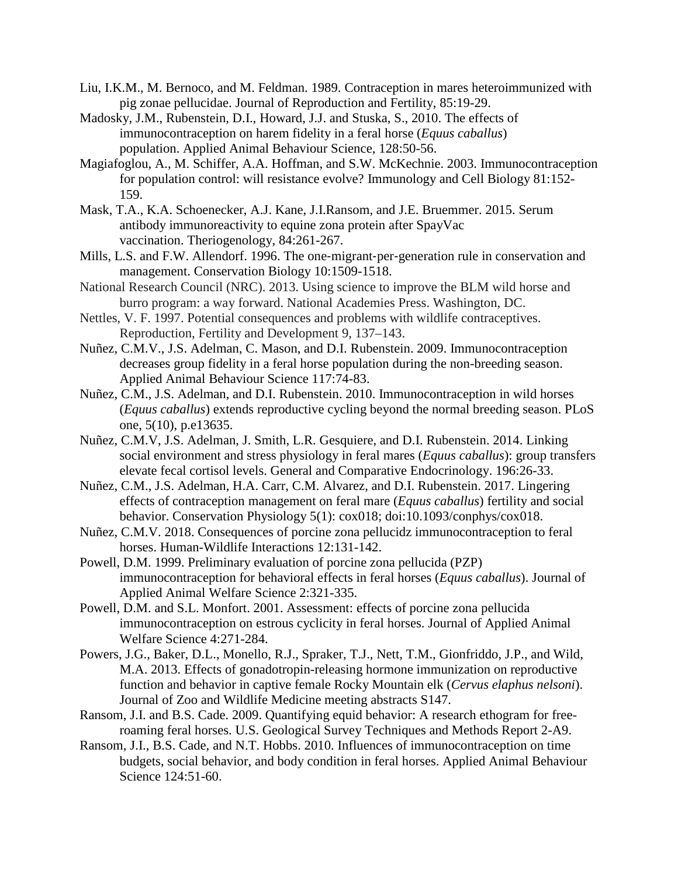- Liu, I.K.M., M. Bernoco, and M. Feldman. 1989. Contraception in mares heteroimmunized with pig zonae pellucidae. Journal of Reproduction and Fertility, 85:19-29.
- Madosky, J.M., Rubenstein, D.I., Howard, J.J. and Stuska, S., 2010. The effects of immunocontraception on harem fidelity in a feral horse (*Equus caballus*) population. Applied Animal Behaviour Science, 128:50-56.
- Magiafoglou, A., M. Schiffer, A.A. Hoffman, and S.W. McKechnie. 2003. Immunocontraception for population control: will resistance evolve? Immunology and Cell Biology 81:152- 159.
- Mask, T.A., K.A. Schoenecker, A.J. Kane, J.I.Ransom, and J.E. Bruemmer. 2015. Serum antibody immunoreactivity to equine zona protein after SpayVac vaccination. Theriogenology, 84:261-267.
- Mills, L.S. and F.W. Allendorf. 1996. The one‐migrant‐per‐generation rule in conservation and management. Conservation Biology 10:1509-1518.
- National Research Council (NRC). 2013. Using science to improve the BLM wild horse and burro program: a way forward. National Academies Press. Washington, DC.
- Nettles, V. F. 1997. Potential consequences and problems with wildlife contraceptives. Reproduction, Fertility and Development 9, 137–143.
- Nuñez, C.M.V., J.S. Adelman, C. Mason, and D.I. Rubenstein. 2009. Immunocontraception decreases group fidelity in a feral horse population during the non-breeding season. Applied Animal Behaviour Science 117:74-83.
- Nuñez, C.M., J.S. Adelman, and D.I. Rubenstein. 2010. Immunocontraception in wild horses (*Equus caballus*) extends reproductive cycling beyond the normal breeding season. PLoS one, 5(10), p.e13635.
- Nuñez, C.M.V, J.S. Adelman, J. Smith, L.R. Gesquiere, and D.I. Rubenstein. 2014. Linking social environment and stress physiology in feral mares (*Equus caballus*): group transfers elevate fecal cortisol levels. General and Comparative Endocrinology. 196:26-33.
- Nuñez, C.M., J.S. Adelman, H.A. Carr, C.M. Alvarez, and D.I. Rubenstein. 2017. Lingering effects of contraception management on feral mare (*Equus caballus*) fertility and social behavior. Conservation Physiology 5(1): cox018; doi:10.1093/conphys/cox018.
- Nuñez, C.M.V. 2018. Consequences of porcine zona pellucidz immunocontraception to feral horses. Human-Wildlife Interactions 12:131-142.
- Powell, D.M. 1999. Preliminary evaluation of porcine zona pellucida (PZP) immunocontraception for behavioral effects in feral horses (*Equus caballus*). Journal of Applied Animal Welfare Science 2:321-335.
- Powell, D.M. and S.L. Monfort. 2001. Assessment: effects of porcine zona pellucida immunocontraception on estrous cyclicity in feral horses. Journal of Applied Animal Welfare Science 4:271-284.
- Powers, J.G., Baker, D.L., Monello, R.J., Spraker, T.J., Nett, T.M., Gionfriddo, J.P., and Wild, M.A. 2013. Effects of gonadotropin-releasing hormone immunization on reproductive function and behavior in captive female Rocky Mountain elk (*Cervus elaphus nelsoni*). Journal of Zoo and Wildlife Medicine meeting abstracts S147.
- Ransom, J.I. and B.S. Cade. 2009. Quantifying equid behavior: A research ethogram for freeroaming feral horses. U.S. Geological Survey Techniques and Methods Report 2-A9.
- Ransom, J.I., B.S. Cade, and N.T. Hobbs. 2010. Influences of immunocontraception on time budgets, social behavior, and body condition in feral horses. Applied Animal Behaviour Science 124:51-60.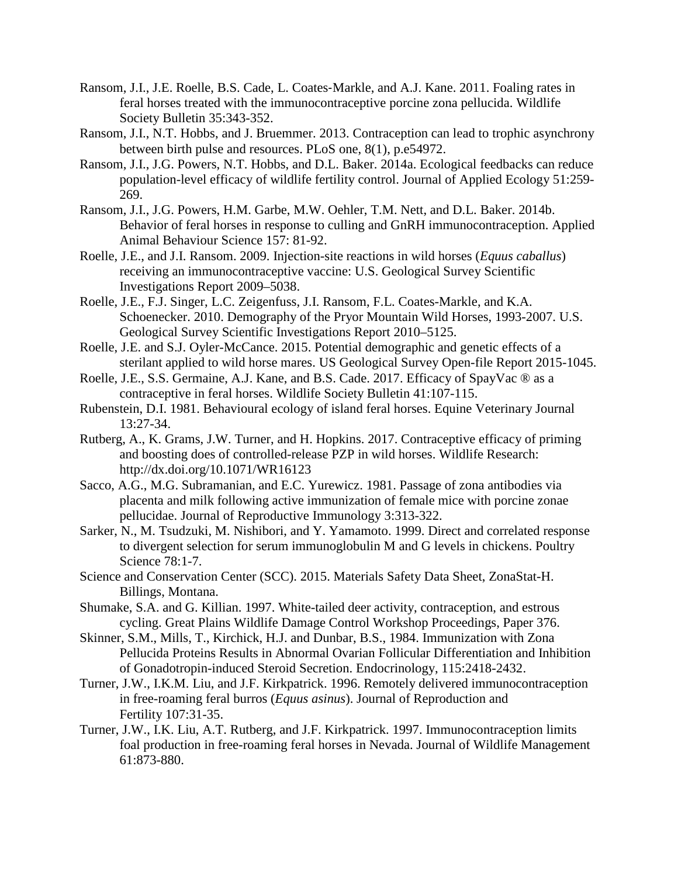- Ransom, J.I., J.E. Roelle, B.S. Cade, L. Coates‐Markle, and A.J. Kane. 2011. Foaling rates in feral horses treated with the immunocontraceptive porcine zona pellucida. Wildlife Society Bulletin 35:343-352.
- Ransom, J.I., N.T. Hobbs, and J. Bruemmer. 2013. Contraception can lead to trophic asynchrony between birth pulse and resources. PLoS one, 8(1), p.e54972.
- Ransom, J.I., J.G. Powers, N.T. Hobbs, and D.L. Baker. 2014a. Ecological feedbacks can reduce population-level efficacy of wildlife fertility control. Journal of Applied Ecology 51:259- 269.
- Ransom, J.I., J.G. Powers, H.M. Garbe, M.W. Oehler, T.M. Nett, and D.L. Baker. 2014b. Behavior of feral horses in response to culling and GnRH immunocontraception. Applied Animal Behaviour Science 157: 81-92.
- Roelle, J.E., and J.I. Ransom. 2009. Injection-site reactions in wild horses (*Equus caballus*) receiving an immunocontraceptive vaccine: U.S. Geological Survey Scientific Investigations Report 2009–5038.
- Roelle, J.E., F.J. Singer, L.C. Zeigenfuss, J.I. Ransom, F.L. Coates-Markle, and K.A. Schoenecker. 2010. Demography of the Pryor Mountain Wild Horses, 1993-2007. U.S. Geological Survey Scientific Investigations Report 2010–5125.
- Roelle, J.E. and S.J. Oyler-McCance. 2015. Potential demographic and genetic effects of a sterilant applied to wild horse mares. US Geological Survey Open-file Report 2015-1045.
- Roelle, J.E., S.S. Germaine, A.J. Kane, and B.S. Cade. 2017. Efficacy of SpayVac ® as a contraceptive in feral horses. Wildlife Society Bulletin 41:107-115.
- Rubenstein, D.I. 1981. Behavioural ecology of island feral horses. Equine Veterinary Journal 13:27-34.
- Rutberg, A., K. Grams, J.W. Turner, and H. Hopkins. 2017. Contraceptive efficacy of priming and boosting does of controlled-release PZP in wild horses. Wildlife Research: http://dx.doi.org/10.1071/WR16123
- Sacco, A.G., M.G. Subramanian, and E.C. Yurewicz. 1981. Passage of zona antibodies via placenta and milk following active immunization of female mice with porcine zonae pellucidae. Journal of Reproductive Immunology 3:313-322.
- Sarker, N., M. Tsudzuki, M. Nishibori, and Y. Yamamoto. 1999. Direct and correlated response to divergent selection for serum immunoglobulin M and G levels in chickens. Poultry Science 78:1-7.
- Science and Conservation Center (SCC). 2015. Materials Safety Data Sheet, ZonaStat-H. Billings, Montana.
- Shumake, S.A. and G. Killian. 1997. White-tailed deer activity, contraception, and estrous cycling. Great Plains Wildlife Damage Control Workshop Proceedings, Paper 376.
- Skinner, S.M., Mills, T., Kirchick, H.J. and Dunbar, B.S., 1984. Immunization with Zona Pellucida Proteins Results in Abnormal Ovarian Follicular Differentiation and Inhibition of Gonadotropin-induced Steroid Secretion. Endocrinology, 115:2418-2432.
- Turner, J.W., I.K.M. Liu, and J.F. Kirkpatrick. 1996. Remotely delivered immunocontraception in free-roaming feral burros (*Equus asinus*). Journal of Reproduction and Fertility 107:31-35.
- Turner, J.W., I.K. Liu, A.T. Rutberg, and J.F. Kirkpatrick. 1997. Immunocontraception limits foal production in free-roaming feral horses in Nevada. Journal of Wildlife Management 61:873-880.